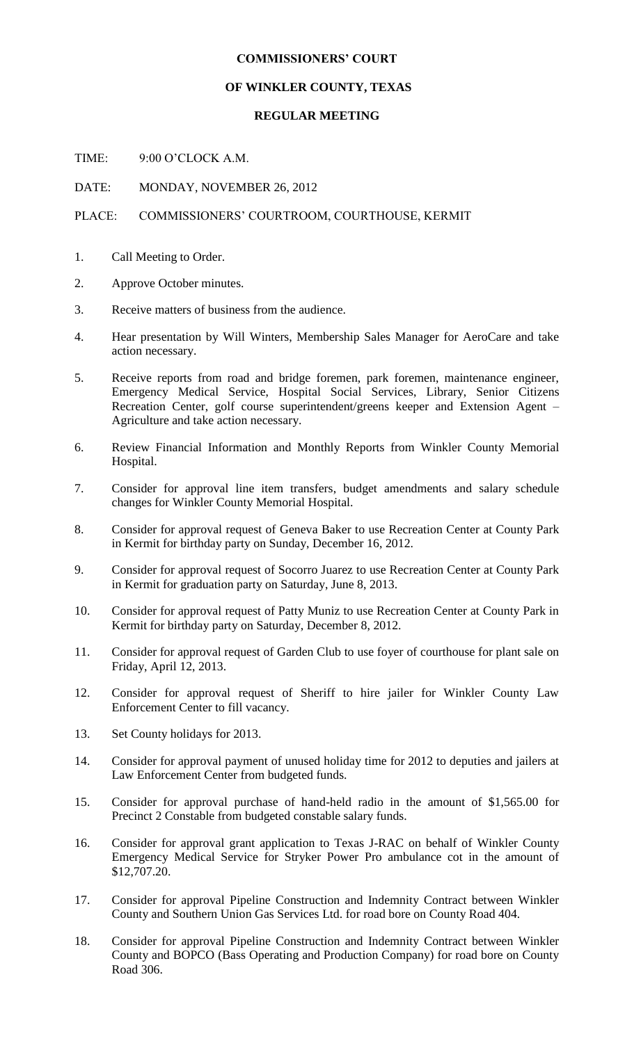## **COMMISSIONERS' COURT**

## **OF WINKLER COUNTY, TEXAS**

## **REGULAR MEETING**

TIME: 9:00 O'CLOCK A.M.

DATE: MONDAY, NOVEMBER 26, 2012

## PLACE: COMMISSIONERS' COURTROOM, COURTHOUSE, KERMIT

- 1. Call Meeting to Order.
- 2. Approve October minutes.
- 3. Receive matters of business from the audience.
- 4. Hear presentation by Will Winters, Membership Sales Manager for AeroCare and take action necessary.
- 5. Receive reports from road and bridge foremen, park foremen, maintenance engineer, Emergency Medical Service, Hospital Social Services, Library, Senior Citizens Recreation Center, golf course superintendent/greens keeper and Extension Agent – Agriculture and take action necessary.
- 6. Review Financial Information and Monthly Reports from Winkler County Memorial Hospital.
- 7. Consider for approval line item transfers, budget amendments and salary schedule changes for Winkler County Memorial Hospital.
- 8. Consider for approval request of Geneva Baker to use Recreation Center at County Park in Kermit for birthday party on Sunday, December 16, 2012.
- 9. Consider for approval request of Socorro Juarez to use Recreation Center at County Park in Kermit for graduation party on Saturday, June 8, 2013.
- 10. Consider for approval request of Patty Muniz to use Recreation Center at County Park in Kermit for birthday party on Saturday, December 8, 2012.
- 11. Consider for approval request of Garden Club to use foyer of courthouse for plant sale on Friday, April 12, 2013.
- 12. Consider for approval request of Sheriff to hire jailer for Winkler County Law Enforcement Center to fill vacancy.
- 13. Set County holidays for 2013.
- 14. Consider for approval payment of unused holiday time for 2012 to deputies and jailers at Law Enforcement Center from budgeted funds.
- 15. Consider for approval purchase of hand-held radio in the amount of \$1,565.00 for Precinct 2 Constable from budgeted constable salary funds.
- 16. Consider for approval grant application to Texas J-RAC on behalf of Winkler County Emergency Medical Service for Stryker Power Pro ambulance cot in the amount of \$12,707.20.
- 17. Consider for approval Pipeline Construction and Indemnity Contract between Winkler County and Southern Union Gas Services Ltd. for road bore on County Road 404.
- 18. Consider for approval Pipeline Construction and Indemnity Contract between Winkler County and BOPCO (Bass Operating and Production Company) for road bore on County Road 306.